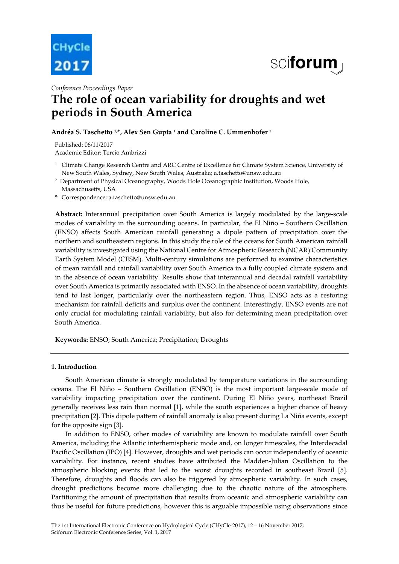



*Conference Proceedings Paper*

# **The role of ocean variability for droughts and wet periods in South America**

# **Andréa S. Taschetto 1,\*, Alex Sen Gupta <sup>1</sup> and Caroline C. Ummenhofer <sup>2</sup>**

Published: 06/11/2017 Academic Editor: Tercio Ambrizzi

- <sup>1</sup> Climate Change Research Centre and ARC Centre of Excellence for Climate System Science, University of New South Wales, Sydney, New South Wales, Australia; a.taschetto@unsw.edu.au
- <sup>2</sup> Department of Physical Oceanography, Woods Hole Oceanographic Institution, Woods Hole,
- Massachusetts, USA
- **\*** Correspondence: a.taschetto@unsw.edu.au

Abstract: Interannual precipitation over South America is largely modulated by the large-scale modes of variability in the surrounding oceans. In particular, the El Niño – Southern Oscillation (ENSO) affects South American rainfall generating a dipole pattern of precipitation over the northern and southeastern regions. In this study the role of the oceans for South American rainfall variability is investigated using the National Centre for Atmospheric Research (NCAR) Community Earth System Model (CESM). Multi‐century simulations are performed to examine characteristics of mean rainfall and rainfall variability over South America in a fully coupled climate system and in the absence of ocean variability. Results show that interannual and decadal rainfall variability over South America is primarily associated with ENSO. In the absence of ocean variability, droughts tend to last longer, particularly over the northeastern region. Thus, ENSO acts as a restoring mechanism for rainfall deficits and surplus over the continent. Interestingly, ENSO events are not only crucial for modulating rainfall variability, but also for determining mean precipitation over South America.

**Keywords:** ENSO; South America; Precipitation; Droughts

## **1. Introduction**

South American climate is strongly modulated by temperature variations in the surrounding oceans. The El Niño – Southern Oscillation (ENSO) is the most important large-scale mode of variability impacting precipitation over the continent. During El Niño years, northeast Brazil generally receives less rain than normal [1], while the south experiences a higher chance of heavy precipitation [2]. This dipole pattern of rainfall anomaly is also present during La Niña events, except for the opposite sign [3].

In addition to ENSO, other modes of variability are known to modulate rainfall over South America, including the Atlantic interhemispheric mode and, on longer timescales, the Interdecadal Pacific Oscillation (IPO) [4]. However, droughts and wet periods can occur independently of oceanic variability. For instance, recent studies have attributed the Madden‐Julian Oscillation to the atmospheric blocking events that led to the worst droughts recorded in southeast Brazil [5]. Therefore, droughts and floods can also be triggered by atmospheric variability. In such cases, drought predictions become more challenging due to the chaotic nature of the atmosphere. Partitioning the amount of precipitation that results from oceanic and atmospheric variability can thus be useful for future predictions, however this is arguable impossible using observations since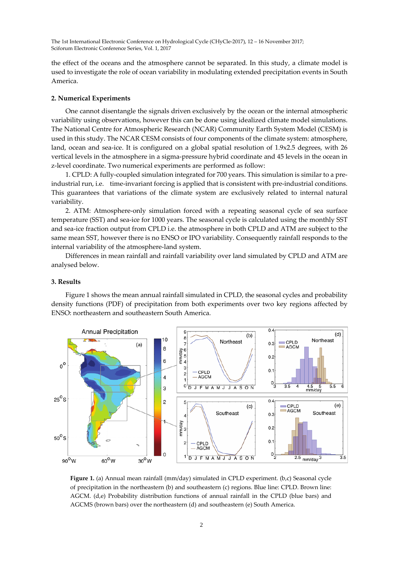the effect of the oceans and the atmosphere cannot be separated. In this study, a climate model is used to investigate the role of ocean variability in modulating extended precipitation events in South America.

## **2. Numerical Experiments**

One cannot disentangle the signals driven exclusively by the ocean or the internal atmospheric variability using observations, however this can be done using idealized climate model simulations. The National Centre for Atmospheric Research (NCAR) Community Earth System Model (CESM) is used in this study. The NCAR CESM consists of four components of the climate system: atmosphere, land, ocean and sea-ice. It is configured on a global spatial resolution of 1.9x2.5 degrees, with 26 vertical levels in the atmosphere in a sigma‐pressure hybrid coordinate and 45 levels in the ocean in z‐level coordinate. Two numerical experiments are performed as follow:

1. CPLD: A fully‐coupled simulation integrated for 700 years. This simulation is similar to a pre‐ industrial run, i.e. time-invariant forcing is applied that is consistent with pre-industrial conditions. This guarantees that variations of the climate system are exclusively related to internal natural variability.

2. ATM: Atmosphere‐only simulation forced with a repeating seasonal cycle of sea surface temperature (SST) and sea‐ice for 1000 years. The seasonal cycle is calculated using the monthly SST and sea‐ice fraction output from CPLD i.e. the atmosphere in both CPLD and ATM are subject to the same mean SST, however there is no ENSO or IPO variability. Consequently rainfall responds to the internal variability of the atmosphere‐land system.

Differences in mean rainfall and rainfall variability over land simulated by CPLD and ATM are analysed below.

#### **3. Results**

Figure 1 shows the mean annual rainfall simulated in CPLD, the seasonal cycles and probability density functions (PDF) of precipitation from both experiments over two key regions affected by ENSO: northeastern and southeastern South America.



**Figure 1.** (a) Annual mean rainfall (mm/day) simulated in CPLD experiment. (b,c) Seasonal cycle of precipitation in the northeastern (b) and southeastern (c) regions. Blue line: CPLD. Brown line: AGCM. (d,e) Probability distribution functions of annual rainfall in the CPLD (blue bars) and AGCMS (brown bars) over the northeastern (d) and southeastern (e) South America.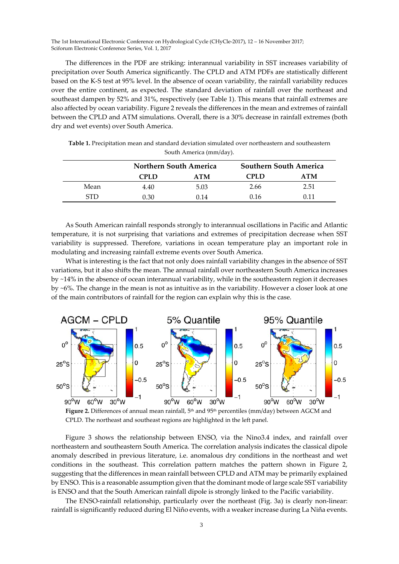The differences in the PDF are striking: interannual variability in SST increases variability of precipitation over South America significantly. The CPLD and ATM PDFs are statistically different based on the K‐S test at 95% level. In the absence of ocean variability, the rainfall variability reduces over the entire continent, as expected. The standard deviation of rainfall over the northeast and southeast dampen by 52% and 31%, respectively (see Table 1). This means that rainfall extremes are also affected by ocean variability. Figure 2 reveals the differences in the mean and extremes of rainfall between the CPLD and ATM simulations. Overall, there is a 30% decrease in rainfall extremes (both dry and wet events) over South America.

**Table 1.** Precipitation mean and standard deviation simulated over northeastern and southeastern South America (mm/day).

|      | <b>Northern South America</b> |      | <b>Southern South America</b> |            |
|------|-------------------------------|------|-------------------------------|------------|
|      | CPL D                         | ATM  | <b>CPLD</b>                   | <b>ATM</b> |
| Mean | 4.40                          | 5.03 | 2.66                          | 2.51       |
| STL. | 0.30                          | 0.14 | 0.16                          | በ 11       |

As South American rainfall responds strongly to interannual oscillations in Pacific and Atlantic temperature, it is not surprising that variations and extremes of precipitation decrease when SST variability is suppressed. Therefore, variations in ocean temperature play an important role in modulating and increasing rainfall extreme events over South America.

What is interesting is the fact that not only does rainfall variability changes in the absence of SST variations, but it also shifts the mean. The annual rainfall over northeastern South America increases by ~14% in the absence of ocean interannual variability, while in the southeastern region it decreases by ~6%. The change in the mean is not as intuitive as in the variability. However a closer look at one of the main contributors of rainfall for the region can explain why this is the case.





Figure 3 shows the relationship between ENSO, via the Nino3.4 index, and rainfall over northeastern and southeastern South America. The correlation analysis indicates the classical dipole anomaly described in previous literature, i.e. anomalous dry conditions in the northeast and wet conditions in the southeast. This correlation pattern matches the pattern shown in Figure 2, suggesting that the differences in mean rainfall between CPLD and ATM may be primarily explained by ENSO. This is a reasonable assumption given that the dominant mode of large scale SST variability is ENSO and that the South American rainfall dipole is strongly linked to the Pacific variability.

The ENSO-rainfall relationship, particularly over the northeast (Fig. 3a) is clearly non-linear: rainfall is significantly reduced during El Niño events, with a weaker increase during La Niña events.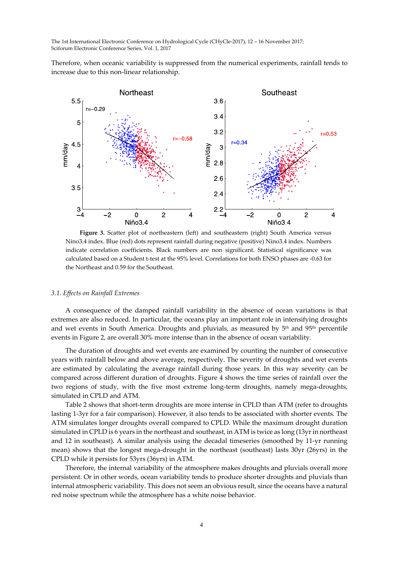Therefore, when oceanic variability is suppressed from the numerical experiments, rainfall tends to increase due to this non‐linear relationship.



**Figure 3.** Scatter plot of northeastern (left) and southeastern (right) South America versus Nino3.4 index. Blue (red) dots represent rainfall during negative (positive) Nino3.4 index. Numbers indicate correlation coefficients. Black numbers are non significant. Statistical significance was calculated based on a Student t‐test at the 95% level. Correlations for both ENSO phases are ‐0.63 for the Northeast and 0.59 for the Southeast.

#### *3.1. Effects on Rainfall Extremes*

A consequence of the damped rainfall variability in the absence of ocean variations is that extremes are also reduced. In particular, the oceans play an important role in intensifying droughts and wet events in South America. Droughts and pluvials, as measured by 5th and 95th percentile events in Figure 2, are overall 30% more intense than in the absence of ocean variability.

The duration of droughts and wet events are examined by counting the number of consecutive years with rainfall below and above average, respectively. The severity of droughts and wet events are estimated by calculating the average rainfall during those years. In this way severity can be compared across different duration of droughts. Figure 4 shows the time series of rainfall over the two regions of study, with the five most extreme long-term droughts, namely mega-droughts, simulated in CPLD and ATM.

Table 2 shows that short-term droughts are more intense in CPLD than ATM (refer to droughts lasting 1‐3yr for a fair comparison). However, it also tends to be associated with shorter events. The ATM simulates longer droughts overall compared to CPLD. While the maximum drought duration simulated in CPLD is 6 years in the northeast and southeast, in ATM is twice as long (13yrin northeast and 12 in southeast). A similar analysis using the decadal timeseries (smoothed by 11‐yr running mean) shows that the longest mega‐drought in the northeast (southeast) lasts 30yr (26yrs) in the CPLD while it persists for 53yrs (36yrs) in ATM.

Therefore, the internal variability of the atmosphere makes droughts and pluvials overall more persistent. Or in other words, ocean variability tends to produce shorter droughts and pluvials than internal atmospheric variability. This does not seem an obvious result, since the oceans have a natural red noise spectrum while the atmosphere has a white noise behavior.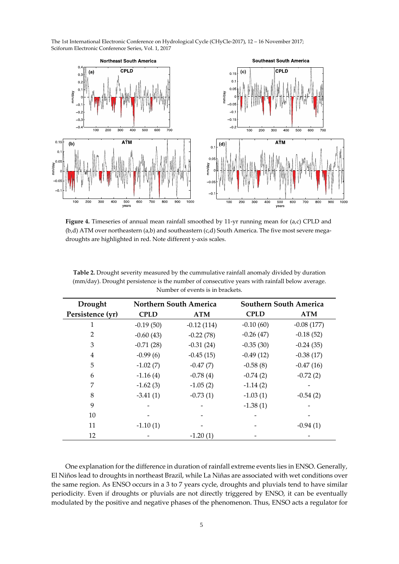

**Figure 4.** Timeseries of annual mean rainfall smoothed by 11‐yr running mean for (a,c) CPLD and (b,d) ATM over northeastern (a,b) and southeastern (c,d) South America. The five most severe megadroughts are highlighted in red. Note different y‐axis scales.

| Drought          | <b>Northern South America</b> |              | <b>Southern South America</b> |              |
|------------------|-------------------------------|--------------|-------------------------------|--------------|
| Persistence (yr) | <b>CPLD</b>                   | <b>ATM</b>   | <b>CPLD</b>                   | <b>ATM</b>   |
| 1                | $-0.19(50)$                   | $-0.12(114)$ | $-0.10(60)$                   | $-0.08(177)$ |
| $\overline{2}$   | $-0.60(43)$                   | $-0.22(78)$  | $-0.26(47)$                   | $-0.18(52)$  |
| 3                | $-0.71(28)$                   | $-0.31(24)$  | $-0.35(30)$                   | $-0.24(35)$  |
| $\overline{4}$   | $-0.99(6)$                    | $-0.45(15)$  | $-0.49(12)$                   | $-0.38(17)$  |
| 5                | $-1.02(7)$                    | $-0.47(7)$   | $-0.58(8)$                    | $-0.47(16)$  |
| 6                | $-1.16(4)$                    | $-0.78(4)$   | $-0.74(2)$                    | $-0.72(2)$   |
| 7                | $-1.62(3)$                    | $-1.05(2)$   | $-1.14(2)$                    |              |
| 8                | $-3.41(1)$                    | $-0.73(1)$   | $-1.03(1)$                    | $-0.54(2)$   |
| 9                |                               |              | $-1.38(1)$                    |              |
| 10               |                               |              |                               |              |
| 11               | $-1.10(1)$                    |              |                               | $-0.94(1)$   |
| 12               |                               | $-1.20(1)$   |                               |              |

**Table 2.** Drought severity measured by the cummulative rainfall anomaly divided by duration (mm/day). Drought persistence is the number of consecutive years with rainfall below average. Number of events is in brackets.

One explanation for the difference in duration of rainfall extreme events lies in ENSO. Generally, El Niños lead to droughts in northeast Brazil, while La Niñas are associated with wet conditions over the same region. As ENSO occurs in a 3 to 7 years cycle, droughts and pluvials tend to have similar periodicity. Even if droughts or pluvials are not directly triggered by ENSO, it can be eventually modulated by the positive and negative phases of the phenomenon. Thus, ENSO acts a regulator for